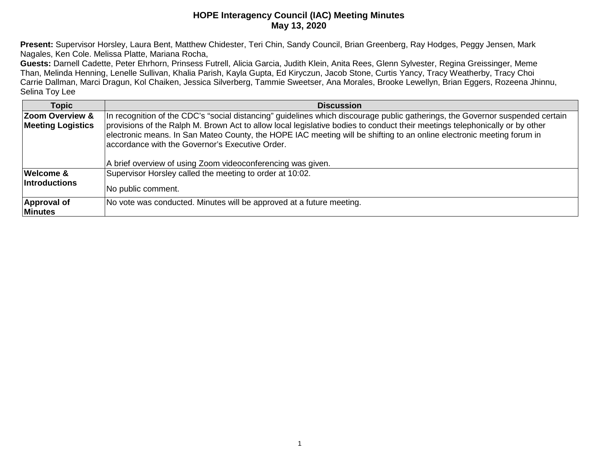**Present:** Supervisor Horsley, Laura Bent, Matthew Chidester, Teri Chin, Sandy Council, Brian Greenberg, Ray Hodges, Peggy Jensen, Mark Nagales, Ken Cole. Melissa Platte, Mariana Rocha,

**Guests:** Darnell Cadette, Peter Ehrhorn, Prinsess Futrell, Alicia Garcia, Judith Klein, Anita Rees, Glenn Sylvester, Regina Greissinger, Meme Than, Melinda Henning, Lenelle Sullivan, Khalia Parish, Kayla Gupta, Ed Kiryczun, Jacob Stone, Curtis Yancy, Tracy Weatherby, Tracy Choi Carrie Dallman, Marci Dragun, Kol Chaiken, Jessica Silverberg, Tammie Sweetser, Ana Morales, Brooke Lewellyn, Brian Eggers, Rozeena Jhinnu, Selina Toy Lee

| <b>Topic</b>             | <b>Discussion</b>                                                                                                                                                                                                                                                                                                                                                      |
|--------------------------|------------------------------------------------------------------------------------------------------------------------------------------------------------------------------------------------------------------------------------------------------------------------------------------------------------------------------------------------------------------------|
| Zoom Overview &          | In recognition of the CDC's "social distancing" guidelines which discourage public gatherings, the Governor suspended certain                                                                                                                                                                                                                                          |
| <b>Meeting Logistics</b> | provisions of the Ralph M. Brown Act to allow local legislative bodies to conduct their meetings telephonically or by other<br>electronic means. In San Mateo County, the HOPE IAC meeting will be shifting to an online electronic meeting forum in<br>accordance with the Governor's Executive Order.<br>A brief overview of using Zoom videoconferencing was given. |
|                          |                                                                                                                                                                                                                                                                                                                                                                        |
| <b>Welcome &amp;</b>     | Supervisor Horsley called the meeting to order at 10:02.                                                                                                                                                                                                                                                                                                               |
| <b>Introductions</b>     | No public comment.                                                                                                                                                                                                                                                                                                                                                     |
| Approval of              | No vote was conducted. Minutes will be approved at a future meeting.                                                                                                                                                                                                                                                                                                   |
| <b>Minutes</b>           |                                                                                                                                                                                                                                                                                                                                                                        |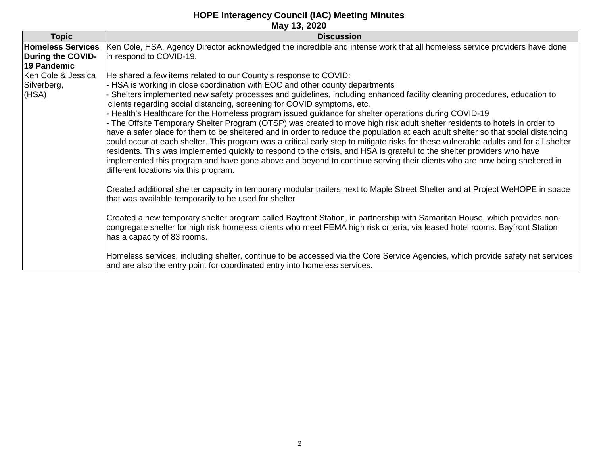| <b>Homeless Services</b><br>During the COVID-<br>19 Pandemic | Ken Cole, HSA, Agency Director acknowledged the incredible and intense work that all homeless service providers have done<br>in respond to COVID-19.                                                                                                                                                                                                                                                                                                                                                                                                                                                                                                                                                                                                                                                                                                                                                                                                                                                                                                                                                                                                                        |
|--------------------------------------------------------------|-----------------------------------------------------------------------------------------------------------------------------------------------------------------------------------------------------------------------------------------------------------------------------------------------------------------------------------------------------------------------------------------------------------------------------------------------------------------------------------------------------------------------------------------------------------------------------------------------------------------------------------------------------------------------------------------------------------------------------------------------------------------------------------------------------------------------------------------------------------------------------------------------------------------------------------------------------------------------------------------------------------------------------------------------------------------------------------------------------------------------------------------------------------------------------|
|                                                              |                                                                                                                                                                                                                                                                                                                                                                                                                                                                                                                                                                                                                                                                                                                                                                                                                                                                                                                                                                                                                                                                                                                                                                             |
| Ken Cole & Jessica<br>Silverberg,<br>(HSA)                   | He shared a few items related to our County's response to COVID:<br>- HSA is working in close coordination with EOC and other county departments<br>Shelters implemented new safety processes and guidelines, including enhanced facility cleaning procedures, education to<br>clients regarding social distancing, screening for COVID symptoms, etc.<br>- Health's Healthcare for the Homeless program issued guidance for shelter operations during COVID-19<br>- The Offsite Temporary Shelter Program (OTSP) was created to move high risk adult shelter residents to hotels in order to<br>have a safer place for them to be sheltered and in order to reduce the population at each adult shelter so that social distancing<br>could occur at each shelter. This program was a critical early step to mitigate risks for these vulnerable adults and for all shelter<br>residents. This was implemented quickly to respond to the crisis, and HSA is grateful to the shelter providers who have<br>implemented this program and have gone above and beyond to continue serving their clients who are now being sheltered in<br>different locations via this program. |
|                                                              | Created additional shelter capacity in temporary modular trailers next to Maple Street Shelter and at Project WeHOPE in space<br>that was available temporarily to be used for shelter<br>Created a new temporary shelter program called Bayfront Station, in partnership with Samaritan House, which provides non-<br>congregate shelter for high risk homeless clients who meet FEMA high risk criteria, via leased hotel rooms. Bayfront Station<br>has a capacity of 83 rooms.<br>Homeless services, including shelter, continue to be accessed via the Core Service Agencies, which provide safety net services<br>and are also the entry point for coordinated entry into homeless services.                                                                                                                                                                                                                                                                                                                                                                                                                                                                          |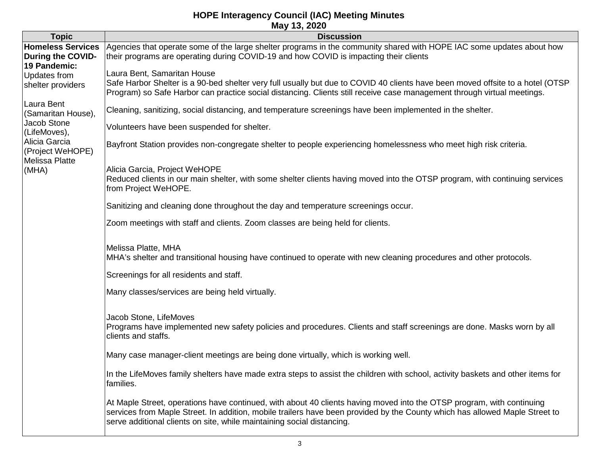| <b>Topic</b>                                                                                                                    | <b>Discussion</b>                                                                                                                                                                                                                                                                                                              |
|---------------------------------------------------------------------------------------------------------------------------------|--------------------------------------------------------------------------------------------------------------------------------------------------------------------------------------------------------------------------------------------------------------------------------------------------------------------------------|
| <b>Homeless Services</b><br><b>During the COVID-</b><br>19 Pandemic:<br>Updates from<br>shelter providers                       | Agencies that operate some of the large shelter programs in the community shared with HOPE IAC some updates about how<br>their programs are operating during COVID-19 and how COVID is impacting their clients                                                                                                                 |
|                                                                                                                                 | Laura Bent, Samaritan House<br>Safe Harbor Shelter is a 90-bed shelter very full usually but due to COVID 40 clients have been moved offsite to a hotel (OTSP<br>Program) so Safe Harbor can practice social distancing. Clients still receive case management through virtual meetings.                                       |
| Laura Bent<br>(Samaritan House),<br>Jacob Stone<br>(LifeMoves),<br>Alicia Garcia<br>(Project WeHOPE)<br>Melissa Platte<br>(MHA) | Cleaning, sanitizing, social distancing, and temperature screenings have been implemented in the shelter.                                                                                                                                                                                                                      |
|                                                                                                                                 | Volunteers have been suspended for shelter.                                                                                                                                                                                                                                                                                    |
|                                                                                                                                 | Bayfront Station provides non-congregate shelter to people experiencing homelessness who meet high risk criteria.                                                                                                                                                                                                              |
|                                                                                                                                 | Alicia Garcia, Project WeHOPE<br>Reduced clients in our main shelter, with some shelter clients having moved into the OTSP program, with continuing services<br>from Project WeHOPE.                                                                                                                                           |
|                                                                                                                                 | Sanitizing and cleaning done throughout the day and temperature screenings occur.                                                                                                                                                                                                                                              |
|                                                                                                                                 | Zoom meetings with staff and clients. Zoom classes are being held for clients.                                                                                                                                                                                                                                                 |
|                                                                                                                                 | Melissa Platte, MHA<br>MHA's shelter and transitional housing have continued to operate with new cleaning procedures and other protocols.<br>Screenings for all residents and staff.                                                                                                                                           |
|                                                                                                                                 | Many classes/services are being held virtually.                                                                                                                                                                                                                                                                                |
|                                                                                                                                 | Jacob Stone, LifeMoves<br>Programs have implemented new safety policies and procedures. Clients and staff screenings are done. Masks worn by all<br>clients and staffs.                                                                                                                                                        |
|                                                                                                                                 | Many case manager-client meetings are being done virtually, which is working well.                                                                                                                                                                                                                                             |
|                                                                                                                                 | In the LifeMoves family shelters have made extra steps to assist the children with school, activity baskets and other items for<br>families.                                                                                                                                                                                   |
|                                                                                                                                 | At Maple Street, operations have continued, with about 40 clients having moved into the OTSP program, with continuing<br>services from Maple Street. In addition, mobile trailers have been provided by the County which has allowed Maple Street to<br>serve additional clients on site, while maintaining social distancing. |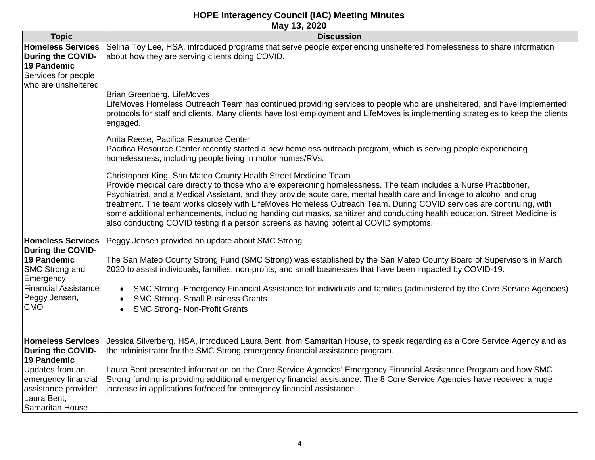|                                                                                                                   | 1114 Y TV, EVEV                                                                                                                                                                                                                                                                                                                                                                                                                                                                                                                                                                                                                                           |
|-------------------------------------------------------------------------------------------------------------------|-----------------------------------------------------------------------------------------------------------------------------------------------------------------------------------------------------------------------------------------------------------------------------------------------------------------------------------------------------------------------------------------------------------------------------------------------------------------------------------------------------------------------------------------------------------------------------------------------------------------------------------------------------------|
| <b>Topic</b>                                                                                                      | <b>Discussion</b>                                                                                                                                                                                                                                                                                                                                                                                                                                                                                                                                                                                                                                         |
| <b>Homeless Services</b><br><b>During the COVID-</b><br>19 Pandemic<br>Services for people<br>who are unsheltered | Selina Toy Lee, HSA, introduced programs that serve people experiencing unsheltered homelessness to share information<br>about how they are serving clients doing COVID.                                                                                                                                                                                                                                                                                                                                                                                                                                                                                  |
|                                                                                                                   | Brian Greenberg, LifeMoves<br>LifeMoves Homeless Outreach Team has continued providing services to people who are unsheltered, and have implemented<br>protocols for staff and clients. Many clients have lost employment and LifeMoves is implementing strategies to keep the clients<br>engaged.                                                                                                                                                                                                                                                                                                                                                        |
|                                                                                                                   | Anita Reese, Pacifica Resource Center<br>Pacifica Resource Center recently started a new homeless outreach program, which is serving people experiencing<br>homelessness, including people living in motor homes/RVs.                                                                                                                                                                                                                                                                                                                                                                                                                                     |
|                                                                                                                   | Christopher King, San Mateo County Health Street Medicine Team<br>Provide medical care directly to those who are expereicning homelessness. The team includes a Nurse Practitioner,<br>Psychiatrist, and a Medical Assistant, and they provide acute care, mental health care and linkage to alcohol and drug<br>treatment. The team works closely with LifeMoves Homeless Outreach Team. During COVID services are continuing, with<br>some additional enhancements, including handing out masks, sanitizer and conducting health education. Street Medicine is<br>also conducting COVID testing if a person screens as having potential COVID symptoms. |
| <b>Homeless Services</b>                                                                                          | Peggy Jensen provided an update about SMC Strong                                                                                                                                                                                                                                                                                                                                                                                                                                                                                                                                                                                                          |
| <b>During the COVID-</b>                                                                                          |                                                                                                                                                                                                                                                                                                                                                                                                                                                                                                                                                                                                                                                           |
| 19 Pandemic<br>SMC Strong and<br>Emergency                                                                        | The San Mateo County Strong Fund (SMC Strong) was established by the San Mateo County Board of Supervisors in March<br>2020 to assist individuals, families, non-profits, and small businesses that have been impacted by COVID-19.                                                                                                                                                                                                                                                                                                                                                                                                                       |
| <b>Financial Assistance</b><br>Peggy Jensen,<br><b>CMO</b>                                                        | SMC Strong - Emergency Financial Assistance for individuals and families (administered by the Core Service Agencies)<br>$\bullet$<br><b>SMC Strong- Small Business Grants</b><br><b>SMC Strong- Non-Profit Grants</b><br>$\bullet$                                                                                                                                                                                                                                                                                                                                                                                                                        |
| <b>Homeless Services</b>                                                                                          | Jessica Silverberg, HSA, introduced Laura Bent, from Samaritan House, to speak regarding as a Core Service Agency and as                                                                                                                                                                                                                                                                                                                                                                                                                                                                                                                                  |
| <b>During the COVID-</b>                                                                                          | the administrator for the SMC Strong emergency financial assistance program.                                                                                                                                                                                                                                                                                                                                                                                                                                                                                                                                                                              |
| 19 Pandemic                                                                                                       |                                                                                                                                                                                                                                                                                                                                                                                                                                                                                                                                                                                                                                                           |
| Updates from an                                                                                                   | Laura Bent presented information on the Core Service Agencies' Emergency Financial Assistance Program and how SMC                                                                                                                                                                                                                                                                                                                                                                                                                                                                                                                                         |
| emergency financial                                                                                               | Strong funding is providing additional emergency financial assistance. The 8 Core Service Agencies have received a huge                                                                                                                                                                                                                                                                                                                                                                                                                                                                                                                                   |
| assistance provider:                                                                                              | increase in applications for/need for emergency financial assistance.                                                                                                                                                                                                                                                                                                                                                                                                                                                                                                                                                                                     |
| Laura Bent,                                                                                                       |                                                                                                                                                                                                                                                                                                                                                                                                                                                                                                                                                                                                                                                           |
| Samaritan House                                                                                                   |                                                                                                                                                                                                                                                                                                                                                                                                                                                                                                                                                                                                                                                           |